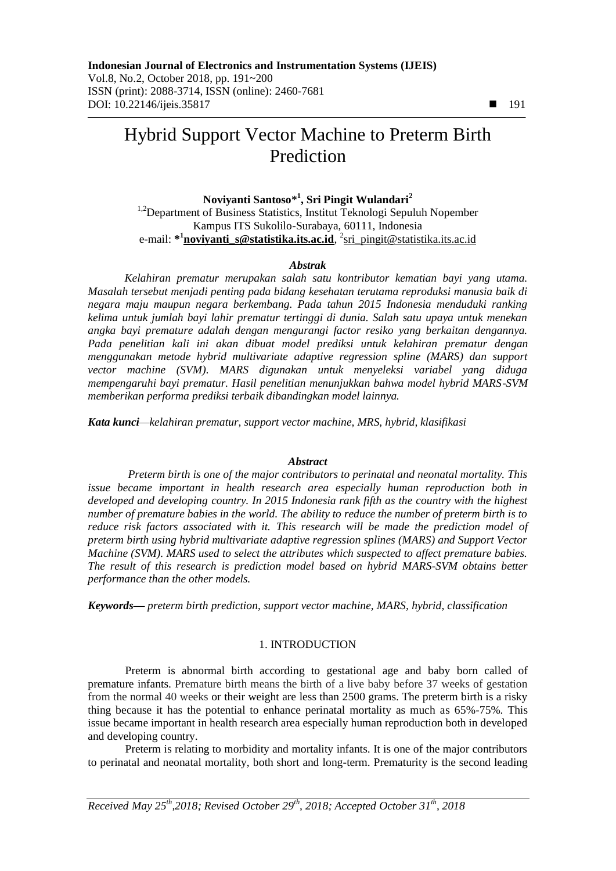# Hybrid Support Vector Machine to Preterm Birth Prediction

**Noviyanti Santoso\* 1 , Sri Pingit Wulandari<sup>2</sup>** <sup>1,2</sup>Department of Business Statistics, Institut Teknologi Sepuluh Nopember Kampus ITS Sukolilo-Surabaya, 60111, Indonesia e-mail: **\* 1 [noviyanti\\_s@statistika.its.ac.id](mailto:1noviyanti_s@statistika.its.ac.id)**, 2 [sri\\_pingit@statistika.its.ac.id](mailto:2sri_pingit@statistika.its.ac.id)

# *Abstrak*

*Kelahiran prematur merupakan salah satu kontributor kematian bayi yang utama. Masalah tersebut menjadi penting pada bidang kesehatan terutama reproduksi manusia baik di negara maju maupun negara berkembang. Pada tahun 2015 Indonesia menduduki ranking kelima untuk jumlah bayi lahir prematur tertinggi di dunia. Salah satu upaya untuk menekan angka bayi premature adalah dengan mengurangi factor resiko yang berkaitan dengannya. Pada penelitian kali ini akan dibuat model prediksi untuk kelahiran prematur dengan menggunakan metode hybrid multivariate adaptive regression spline (MARS) dan support vector machine (SVM). MARS digunakan untuk menyeleksi variabel yang diduga mempengaruhi bayi prematur. Hasil penelitian menunjukkan bahwa model hybrid MARS-SVM memberikan performa prediksi terbaik dibandingkan model lainnya.*

*Kata kunci—kelahiran prematur, support vector machine, MRS, hybrid, klasifikasi*

## *Abstract*

*Preterm birth is one of the major contributors to perinatal and neonatal mortality. This issue became important in health research area especially human reproduction both in developed and developing country. In 2015 Indonesia rank fifth as the country with the highest number of premature babies in the world. The ability to reduce the number of preterm birth is to reduce risk factors associated with it. This research will be made the prediction model of preterm birth using hybrid multivariate adaptive regression splines (MARS) and Support Vector Machine (SVM). MARS used to select the attributes which suspected to affect premature babies. The result of this research is prediction model based on hybrid MARS-SVM obtains better performance than the other models.*

*Keywords— preterm birth prediction, support vector machine, MARS, hybrid, classification*

# 1. INTRODUCTION

Preterm is abnormal birth according to gestational age and baby born called of premature infants. Premature birth means the birth of a live baby before 37 weeks of gestation from the normal 40 weeks or their weight are less than 2500 grams. The preterm birth is a risky thing because it has the potential to enhance perinatal mortality as much as 65%-75%. This issue became important in health research area especially human reproduction both in developed and developing country.

Preterm is relating to morbidity and mortality infants. It is one of the major contributors to perinatal and neonatal mortality, both short and long-term. Prematurity is the second leading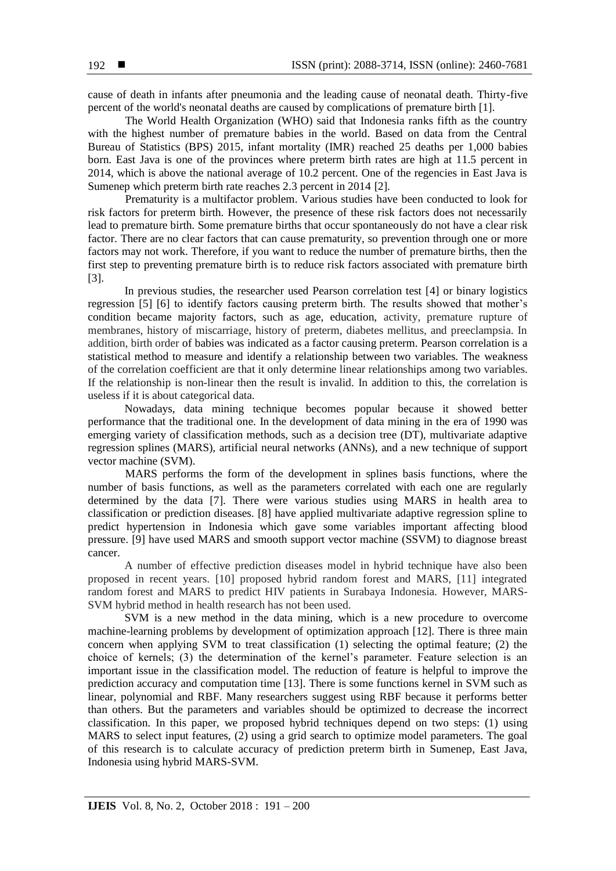cause of death in infants after pneumonia and the leading cause of neonatal death. Thirty-five percent of the world's neonatal deaths are caused by complications of premature birth [1].

The World Health Organization (WHO) said that Indonesia ranks fifth as the country with the highest number of premature babies in the world. Based on data from the Central Bureau of Statistics (BPS) 2015, infant mortality (IMR) reached 25 deaths per 1,000 babies born. East Java is one of the provinces where preterm birth rates are high at 11.5 percent in 2014, which is above the national average of 10.2 percent. One of the regencies in East Java is Sumenep which preterm birth rate reaches 2.3 percent in 2014 [2].

Prematurity is a multifactor problem. Various studies have been conducted to look for risk factors for preterm birth. However, the presence of these risk factors does not necessarily lead to premature birth. Some premature births that occur spontaneously do not have a clear risk factor. There are no clear factors that can cause prematurity, so prevention through one or more factors may not work. Therefore, if you want to reduce the number of premature births, then the first step to preventing premature birth is to reduce risk factors associated with premature birth [3].

In previous studies, the researcher used Pearson correlation test [4] or binary logistics regression [5] [6] to identify factors causing preterm birth. The results showed that mother's condition became majority factors, such as age, education, activity, premature rupture of membranes, history of miscarriage, history of preterm, diabetes mellitus, and preeclampsia. In addition, birth order of babies was indicated as a factor causing preterm. Pearson correlation is a statistical method to measure and identify a relationship between two variables. The weakness of the correlation coefficient are that it only determine linear relationships among two variables. If the relationship is non-linear then the result is invalid. In addition to this, the correlation is useless if it is about categorical data.

Nowadays, data mining technique becomes popular because it showed better performance that the traditional one. In the development of data mining in the era of 1990 was emerging variety of classification methods, such as a decision tree (DT), multivariate adaptive regression splines (MARS), artificial neural networks (ANNs), and a new technique of support vector machine (SVM).

MARS performs the form of the development in splines basis functions, where the number of basis functions, as well as the parameters correlated with each one are regularly determined by the data [7]. There were various studies using MARS in health area to classification or prediction diseases. [8] have applied multivariate adaptive regression spline to predict hypertension in Indonesia which gave some variables important affecting blood pressure. [9] have used MARS and smooth support vector machine (SSVM) to diagnose breast cancer.

A number of effective prediction diseases model in hybrid technique have also been proposed in recent years. [10] proposed hybrid random forest and MARS, [11] integrated random forest and MARS to predict HIV patients in Surabaya Indonesia. However, MARS-SVM hybrid method in health research has not been used.

SVM is a new method in the data mining, which is a new procedure to overcome machine-learning problems by development of optimization approach [12]. There is three main concern when applying SVM to treat classification (1) selecting the optimal feature; (2) the choice of kernels; (3) the determination of the kernel's parameter. Feature selection is an important issue in the classification model. The reduction of feature is helpful to improve the prediction accuracy and computation time [13]. There is some functions kernel in SVM such as linear, polynomial and RBF. Many researchers suggest using RBF because it performs better than others. But the parameters and variables should be optimized to decrease the incorrect classification. In this paper, we proposed hybrid techniques depend on two steps: (1) using MARS to select input features, (2) using a grid search to optimize model parameters. The goal of this research is to calculate accuracy of prediction preterm birth in Sumenep, East Java, Indonesia using hybrid MARS-SVM.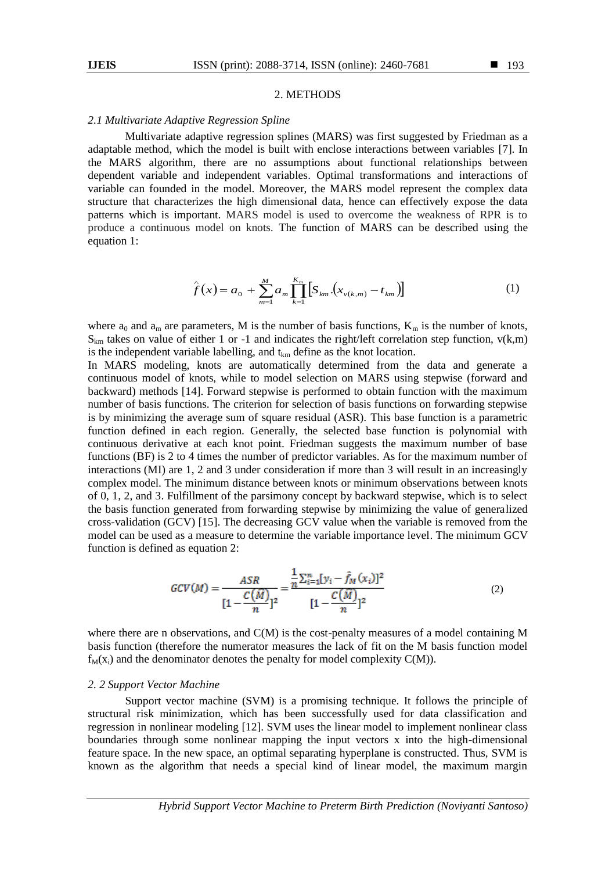#### 2. METHODS

#### *2.1 Multivariate Adaptive Regression Spline*

Multivariate adaptive regression splines (MARS) was first suggested by Friedman as a adaptable method, which the model is built with enclose interactions between variables [7]. In the MARS algorithm, there are no assumptions about functional relationships between dependent variable and independent variables. Optimal transformations and interactions of variable can founded in the model. Moreover, the MARS model represent the complex data structure that characterizes the high dimensional data, hence can effectively expose the data patterns which is important. MARS model is used to overcome the weakness of RPR is to produce a continuous model on knots. The function of MARS can be described using the equation 1:

$$
\hat{f}(x) = a_0 + \sum_{m=1}^{M} a_m \prod_{k=1}^{K_m} \left[ S_{km} \left( x_{\nu(k,m)} - t_{km} \right) \right]
$$
(1)

where  $a_0$  and  $a_m$  are parameters, M is the number of basis functions,  $K_m$  is the number of knots,  $S_{km}$  takes on value of either 1 or -1 and indicates the right/left correlation step function,  $v(k,m)$ is the independent variable labelling, and  $t_{km}$  define as the knot location.

In MARS modeling, knots are automatically determined from the data and generate a continuous model of knots, while to model selection on MARS using stepwise (forward and backward) methods [14]. Forward stepwise is performed to obtain function with the maximum number of basis functions. The criterion for selection of basis functions on forwarding stepwise is by minimizing the average sum of square residual (ASR). This base function is a parametric function defined in each region. Generally, the selected base function is polynomial with continuous derivative at each knot point. Friedman suggests the maximum number of base functions (BF) is 2 to 4 times the number of predictor variables. As for the maximum number of interactions (MI) are 1, 2 and 3 under consideration if more than 3 will result in an increasingly complex model. The minimum distance between knots or minimum observations between knots of 0, 1, 2, and 3. Fulfillment of the parsimony concept by backward stepwise, which is to select the basis function generated from forwarding stepwise by minimizing the value of generalized cross-validation (GCV) [15]. The decreasing GCV value when the variable is removed from the model can be used as a measure to determine the variable importance level. The minimum GCV function is defined as equation 2:

$$
GCV(M) = \frac{ASR}{[1 - \frac{C(\widehat{M})}{n}]^2} = \frac{\frac{1}{n} \sum_{i=1}^n [y_i - \widehat{f}_M(x_i)]^2}{[1 - \frac{C(\widehat{M})}{n}]^2}
$$
(2)

where there are n observations, and  $C(M)$  is the cost-penalty measures of a model containing M basis function (therefore the numerator measures the lack of fit on the M basis function model  $f_M(x_i)$  and the denominator denotes the penalty for model complexity  $C(M)$ ).

#### *2. 2 Support Vector Machine*

Support vector machine (SVM) is a promising technique. It follows the principle of structural risk minimization, which has been successfully used for data classification and regression in nonlinear modeling [12]. SVM uses the linear model to implement nonlinear class boundaries through some nonlinear mapping the input vectors x into the high-dimensional feature space. In the new space, an optimal separating hyperplane is constructed. Thus, SVM is known as the algorithm that needs a special kind of linear model, the maximum margin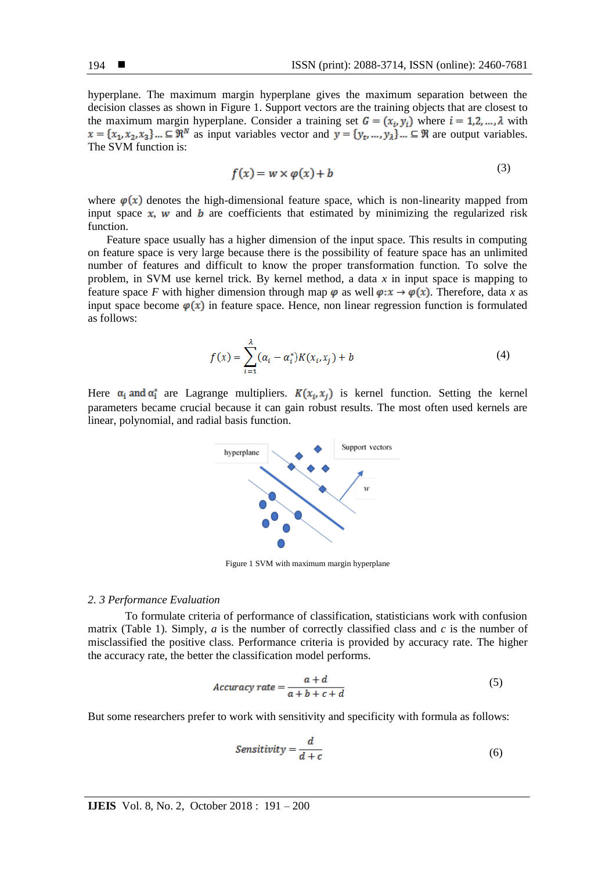hyperplane. The maximum margin hyperplane gives the maximum separation between the decision classes as shown in Figure 1. Support vectors are the training objects that are closest to the maximum margin hyperplane. Consider a training set  $G = (x_i, y_i)$  where  $i = 1, 2, ..., \lambda$  with  $x = \{x_1, x_2, x_3\}$ .  $\subseteq \mathbb{R}^N$  as input variables vector and  $y = \{y_t, ..., y_A\}$ .  $\subseteq \mathbb{R}$  are output variables. The SVM function is:

$$
f(x) = w \times \varphi(x) + b \tag{3}
$$

where  $\varphi(x)$  denotes the high-dimensional feature space, which is non-linearity mapped from input space  $x$ , w and  $b$  are coefficients that estimated by minimizing the regularized risk function.

Feature space usually has a higher dimension of the input space. This results in computing on feature space is very large because there is the possibility of feature space has an unlimited number of features and difficult to know the proper transformation function. To solve the problem, in SVM use kernel trick. By kernel method, a data *x* in input space is mapping to feature space *F* with higher dimension through map  $\varphi$  as well  $\varphi: x \to \varphi(x)$ . Therefore, data *x* as input space become  $\varphi(x)$  in feature space. Hence, non linear regression function is formulated as follows:

$$
f(x) = \sum_{i=1}^{\lambda} (\alpha_i - \alpha_i^*) K(x_i, x_j) + b
$$
 (4)

Here  $\alpha_i$  and  $\alpha_i^*$  are Lagrange multipliers.  $K(x_i, x_i)$  is kernel function. Setting the kernel parameters became crucial because it can gain robust results. The most often used kernels are linear, polynomial, and radial basis function.



Figure 1 SVM with maximum margin hyperplane

#### *2. 3 Performance Evaluation*

To formulate criteria of performance of classification, statisticians work with confusion matrix (Table 1). Simply,  $a$  is the number of correctly classified class and  $c$  is the number of misclassified the positive class. Performance criteria is provided by accuracy rate. The higher the accuracy rate, the better the classification model performs.

$$
Accuracy\ rate = \frac{a+d}{a+b+c+d} \tag{5}
$$

But some researchers prefer to work with sensitivity and specificity with formula as follows:

$$
Sensitivity = \frac{d}{d+c} \tag{6}
$$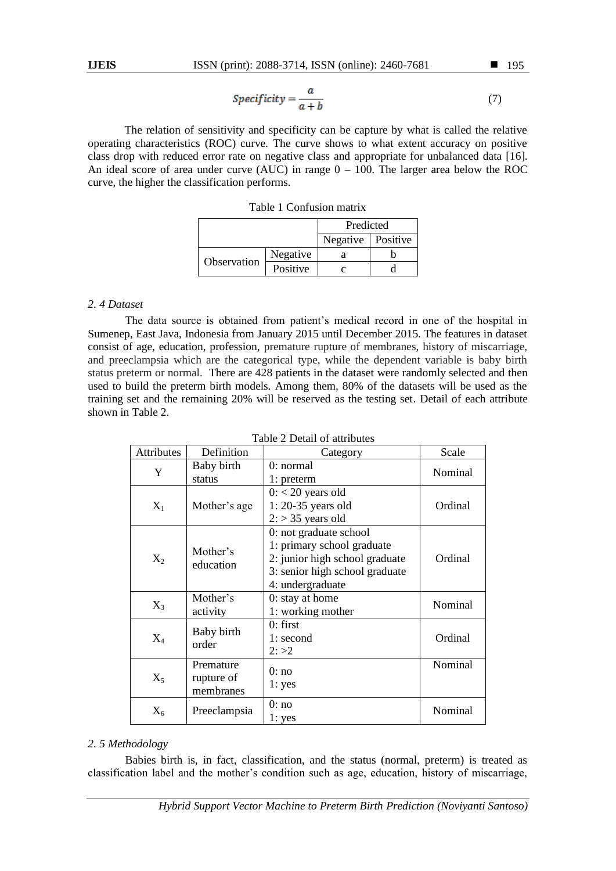$$
Specificity = \frac{a}{a+b} \tag{7}
$$

The relation of sensitivity and specificity can be capture by what is called the relative operating characteristics (ROC) curve. The curve shows to what extent accuracy on positive class drop with reduced error rate on negative class and appropriate for unbalanced data [16]. An ideal score of area under curve (AUC) in range  $0 - 100$ . The larger area below the ROC curve, the higher the classification performs.

|  |  | Table 1 Confusion matrix |  |
|--|--|--------------------------|--|
|--|--|--------------------------|--|

|             |          | Predicted           |  |  |
|-------------|----------|---------------------|--|--|
|             |          | Negative   Positive |  |  |
|             | Negative |                     |  |  |
| Observation | Positive |                     |  |  |

## *2. 4 Dataset*

The data source is obtained from patient's medical record in one of the hospital in Sumenep, East Java, Indonesia from January 2015 until December 2015. The features in dataset consist of age, education, profession, premature rupture of membranes, history of miscarriage, and preeclampsia which are the categorical type, while the dependent variable is baby birth status preterm or normal. There are 428 patients in the dataset were randomly selected and then used to build the preterm birth models. Among them, 80% of the datasets will be used as the training set and the remaining 20% will be reserved as the testing set. Detail of each attribute shown in Table 2.

| <b>Attributes</b> | Definition                           | Category                                                                                                                                     | Scale   |
|-------------------|--------------------------------------|----------------------------------------------------------------------------------------------------------------------------------------------|---------|
| Y                 | Baby birth<br>status                 | $0:$ normal<br>1: preterm                                                                                                                    | Nominal |
| $X_1$             | Mother's age                         | $0: < 20$ years old<br>$1: 20-35$ years old<br>$2:$ > 35 years old                                                                           | Ordinal |
| $X_2$             | Mother's<br>education                | 0: not graduate school<br>1: primary school graduate<br>2: junior high school graduate<br>3: senior high school graduate<br>4: undergraduate | Ordinal |
| $X_3$             | Mother's<br>activity                 | 0: stay at home<br>1: working mother                                                                                                         | Nominal |
| $X_4$             | Baby birth<br>order                  | $0:$ first<br>1: second<br>2: >2                                                                                                             | Ordinal |
| $X_5$             | Premature<br>rupture of<br>membranes | 0:no<br>1: yes                                                                                                                               | Nominal |
| $X_6$             | Preeclampsia                         | 0:no<br>1: yes                                                                                                                               | Nominal |

|  |  | Table 2 Detail of attributes |
|--|--|------------------------------|
|--|--|------------------------------|

# *2. 5 Methodology*

Babies birth is, in fact, classification, and the status (normal, preterm) is treated as classification label and the mother's condition such as age, education, history of miscarriage,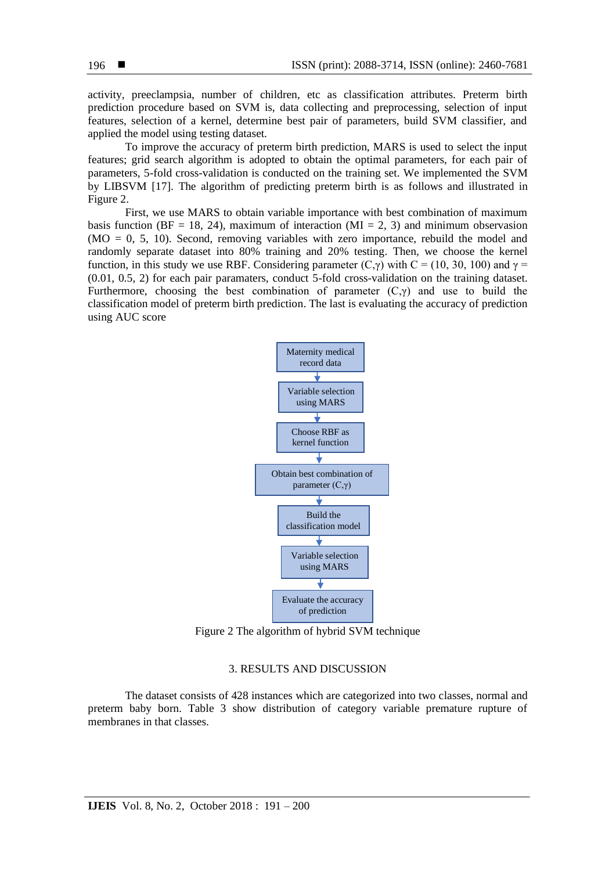activity, preeclampsia, number of children, etc as classification attributes. Preterm birth prediction procedure based on SVM is, data collecting and preprocessing, selection of input features, selection of a kernel, determine best pair of parameters, build SVM classifier, and applied the model using testing dataset.

To improve the accuracy of preterm birth prediction, MARS is used to select the input features; grid search algorithm is adopted to obtain the optimal parameters, for each pair of parameters, 5-fold cross-validation is conducted on the training set. We implemented the SVM by LIBSVM [17]. The algorithm of predicting preterm birth is as follows and illustrated in Figure 2.

First, we use MARS to obtain variable importance with best combination of maximum basis function ( $BF = 18, 24$ ), maximum of interaction ( $MI = 2, 3$ ) and minimum observasion  $(MO = 0, 5, 10)$ . Second, removing variables with zero importance, rebuild the model and randomly separate dataset into 80% training and 20% testing. Then, we choose the kernel function, in this study we use RBF. Considering parameter (C, $\gamma$ ) with C = (10, 30, 100) and  $\gamma$  = (0.01, 0.5, 2) for each pair paramaters, conduct 5-fold cross-validation on the training dataset. Furthermore, choosing the best combination of parameter  $(C,\gamma)$  and use to build the classification model of preterm birth prediction. The last is evaluating the accuracy of prediction using AUC score



Figure 2 The algorithm of hybrid SVM technique

## 3. RESULTS AND DISCUSSION

The dataset consists of 428 instances which are categorized into two classes, normal and preterm baby born. Table 3 show distribution of category variable premature rupture of membranes in that classes.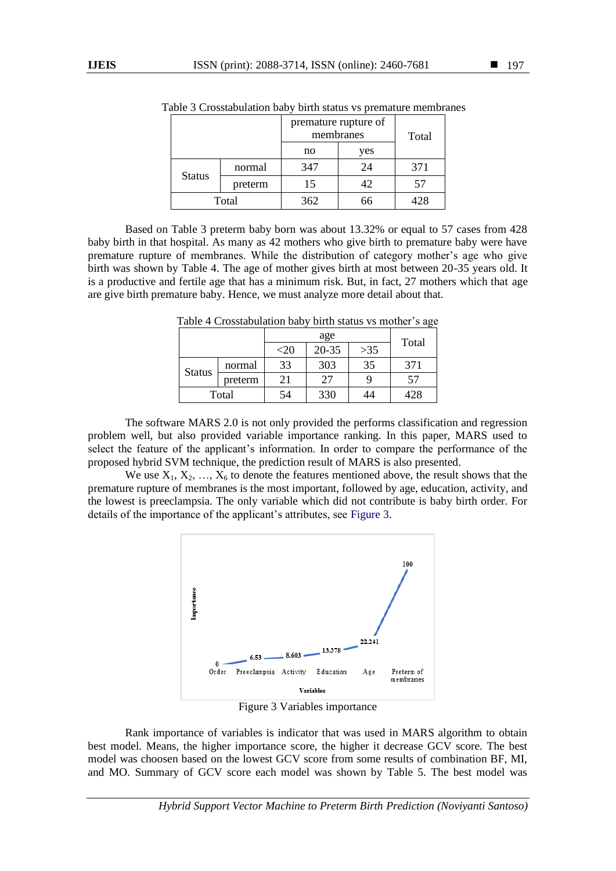|                          |        | premature rupture of<br>membranes | Total |     |  |
|--------------------------|--------|-----------------------------------|-------|-----|--|
|                          |        | no                                | yes   |     |  |
|                          | normal | 347                               | 24    | 371 |  |
| <b>Status</b><br>preterm |        | 15                                | 42    | 57  |  |
| Total                    |        | 362                               |       |     |  |

Table 3 Crosstabulation baby birth status vs premature membranes

Based on Table 3 preterm baby born was about 13.32% or equal to 57 cases from 428 baby birth in that hospital. As many as 42 mothers who give birth to premature baby were have premature rupture of membranes. While the distribution of category mother's age who give birth was shown by Table 4. The age of mother gives birth at most between 20-35 years old. It is a productive and fertile age that has a minimum risk. But, in fact, 27 mothers which that age are give birth premature baby. Hence, we must analyze more detail about that.

|               |         |         | Total     |       |     |
|---------------|---------|---------|-----------|-------|-----|
|               |         | ${<}20$ | $20 - 35$ | $>35$ |     |
|               | normal  | 33      | 303       | 35    | 371 |
| <b>Status</b> | preterm | 21      | 27        |       | 57  |
| Total         |         | 54      | 330       | 44    | 428 |

Table 4 Crosstabulation baby birth status vs mother's age

The software MARS 2.0 is not only provided the performs classification and regression problem well, but also provided variable importance ranking. In this paper, MARS used to select the feature of the applicant's information. In order to compare the performance of the proposed hybrid SVM technique, the prediction result of MARS is also presented.

We use  $X_1, X_2, ..., X_6$  to denote the features mentioned above, the result shows that the premature rupture of membranes is the most important, followed by age, education, activity, and the lowest is preeclampsia. The only variable which did not contribute is baby birth order. For details of the importance of the applicant's attributes, see Figure 3.



Figure 3 Variables importance

Rank importance of variables is indicator that was used in MARS algorithm to obtain best model. Means, the higher importance score, the higher it decrease GCV score. The best model was choosen based on the lowest GCV score from some results of combination BF, MI, and MO. Summary of GCV score each model was shown by Table 5. The best model was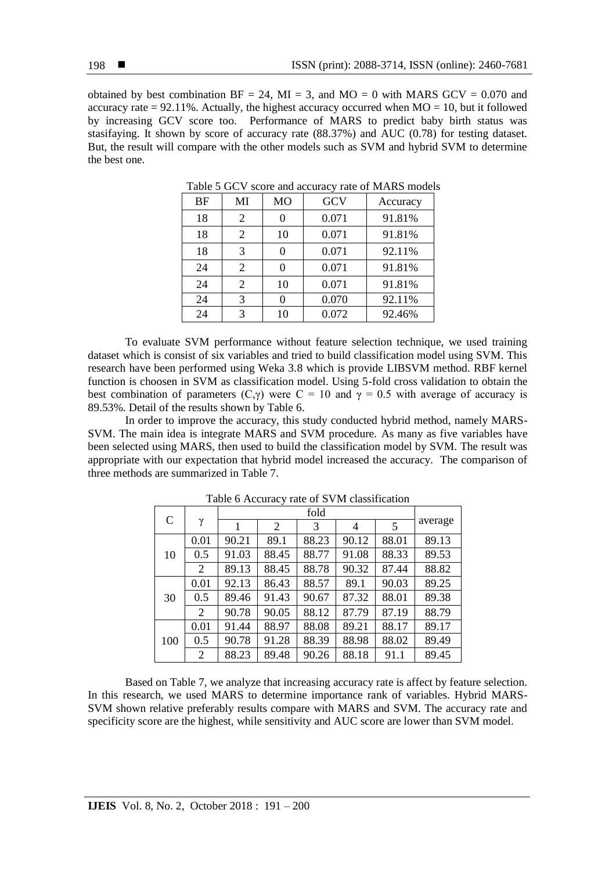obtained by best combination  $BF = 24$ ,  $MI = 3$ , and  $MO = 0$  with MARS GCV = 0.070 and accuracy rate  $= 92.11\%$ . Actually, the highest accuracy occurred when  $MO = 10$ , but it followed by increasing GCV score too. Performance of MARS to predict baby birth status was stasifaying. It shown by score of accuracy rate (88.37%) and AUC (0.78) for testing dataset. But, the result will compare with the other models such as SVM and hybrid SVM to determine the best one.

| <b>BF</b> | MI | MO | GCV   | Accuracy |
|-----------|----|----|-------|----------|
| 18        | 2  | 0  | 0.071 | 91.81%   |
| 18        | 2  | 10 | 0.071 | 91.81%   |
| 18        | 3  | 0  | 0.071 | 92.11%   |
| 24        | 2  | 0  | 0.071 | 91.81%   |
| 24        | 2  | 10 | 0.071 | 91.81%   |
| 24        | 3  |    | 0.070 | 92.11%   |
| 24        | 3  | 10 | 0.072 | 92.46%   |

Table 5 GCV score and accuracy rate of MARS models

To evaluate SVM performance without feature selection technique, we used training dataset which is consist of six variables and tried to build classification model using SVM. This research have been performed using Weka 3.8 which is provide LIBSVM method. RBF kernel function is choosen in SVM as classification model. Using 5-fold cross validation to obtain the best combination of parameters (C,γ) were C = 10 and  $\gamma = 0.5$  with average of accuracy is 89.53%. Detail of the results shown by Table 6.

In order to improve the accuracy, this study conducted hybrid method, namely MARS-SVM. The main idea is integrate MARS and SVM procedure. As many as five variables have been selected using MARS, then used to build the classification model by SVM. The result was appropriate with our expectation that hybrid model increased the accuracy. The comparison of three methods are summarized in Table 7.

|               |          | fold  |       |       |                |       |         |
|---------------|----------|-------|-------|-------|----------------|-------|---------|
| $\mathcal{C}$ | $\gamma$ | 1     | 2     | 3     | $\overline{4}$ | 5     | average |
|               | 0.01     | 90.21 | 89.1  | 88.23 | 90.12          | 88.01 | 89.13   |
| 10            | 0.5      | 91.03 | 88.45 | 88.77 | 91.08          | 88.33 | 89.53   |
|               | 2        | 89.13 | 88.45 | 88.78 | 90.32          | 87.44 | 88.82   |
|               | 0.01     | 92.13 | 86.43 | 88.57 | 89.1           | 90.03 | 89.25   |
| 30            | 0.5      | 89.46 | 91.43 | 90.67 | 87.32          | 88.01 | 89.38   |
|               | 2        | 90.78 | 90.05 | 88.12 | 87.79          | 87.19 | 88.79   |
|               | 0.01     | 91.44 | 88.97 | 88.08 | 89.21          | 88.17 | 89.17   |
| 100           | 0.5      | 90.78 | 91.28 | 88.39 | 88.98          | 88.02 | 89.49   |
|               | 2        | 88.23 | 89.48 | 90.26 | 88.18          | 91.1  | 89.45   |

Table 6 Accuracy rate of SVM classification

Based on Table 7, we analyze that increasing accuracy rate is affect by feature selection. In this research, we used MARS to determine importance rank of variables. Hybrid MARS-SVM shown relative preferably results compare with MARS and SVM. The accuracy rate and specificity score are the highest, while sensitivity and AUC score are lower than SVM model.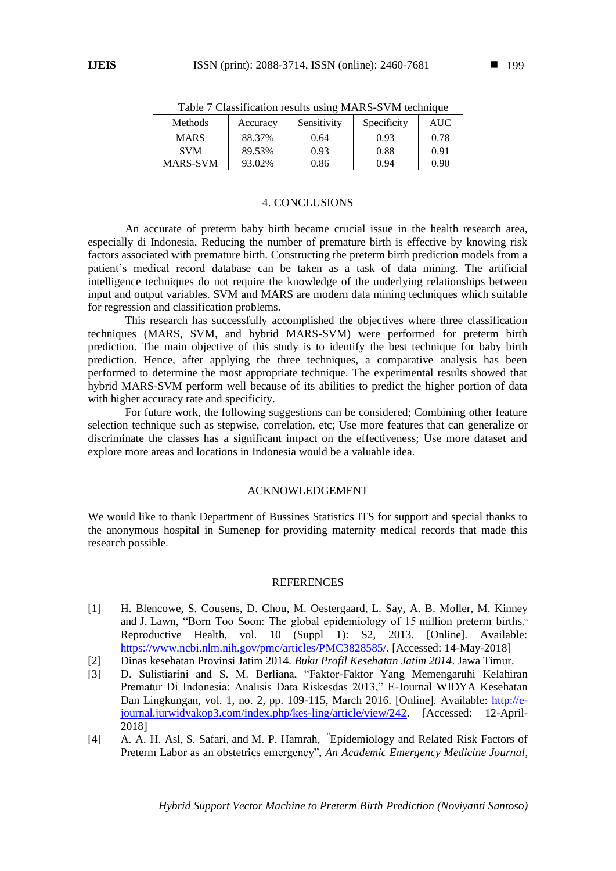| <b>Methods</b>  | Accuracy | Sensitivity | Specificity | <b>AUC</b> |
|-----------------|----------|-------------|-------------|------------|
| <b>MARS</b>     | 88.37%   | 0.64        | 0.93        | 0.78       |
| <b>SVM</b>      | 89.53%   | 0.93        | 0.88        | 0.91       |
| <b>MARS-SVM</b> | 93.02%   | 0.86        | 0.94        | 0.90       |

Table 7 Classification results using MARS-SVM technique

#### 4. CONCLUSIONS

An accurate of preterm baby birth became crucial issue in the health research area, especially di Indonesia. Reducing the number of premature birth is effective by knowing risk factors associated with premature birth. Constructing the preterm birth prediction models from a patient's medical record database can be taken as a task of data mining. The artificial intelligence techniques do not require the knowledge of the underlying relationships between input and output variables. SVM and MARS are modern data mining techniques which suitable for regression and classification problems.

This research has successfully accomplished the objectives where three classification techniques (MARS, SVM, and hybrid MARS-SVM) were performed for preterm birth prediction. The main objective of this study is to identify the best technique for baby birth prediction. Hence, after applying the three techniques, a comparative analysis has been performed to determine the most appropriate technique. The experimental results showed that hybrid MARS-SVM perform well because of its abilities to predict the higher portion of data with higher accuracy rate and specificity.

For future work, the following suggestions can be considered; Combining other feature selection technique such as stepwise, correlation, etc; Use more features that can generalize or discriminate the classes has a significant impact on the effectiveness; Use more dataset and explore more areas and locations in Indonesia would be a valuable idea.

## ACKNOWLEDGEMENT

We would like to thank Department of Bussines Statistics ITS for support and special thanks to the anonymous hospital in Sumenep for providing maternity medical records that made this research possible.

#### REFERENCES

- [1] H. Blencowe, S. Cousens, D. Chou, M. Oestergaard, L. Say, A. B. Moller, M. Kinney and J. Lawn, "Born Too Soon: The global epidemiology of 15 million preterm births," Reproductive Health, vol. 10 (Suppl 1): S2, 2013. [Online]. Available: [https://www.ncbi.nlm.nih.gov/pmc/articles/PMC3828585/.](https://www.ncbi.nlm.nih.gov/pmc/articles/PMC3828585/) [Accessed: 14-May-2018]
- [2] Dinas kesehatan Provinsi Jatim 2014. *Buku Profil Kesehatan Jatim 2014*. Jawa Timur.
- [3] D. Sulistiarini and S. M. Berliana, "Faktor-Faktor Yang Memengaruhi Kelahiran Prematur Di Indonesia: Analisis Data Riskesdas 2013," E-Journal WIDYA Kesehatan Dan Lingkungan, vol. 1, no. 2, pp. 109-115, March 2016. [Online]. Available: [http://e](http://e-journal.jurwidyakop3.com/index.php/kes-ling/article/view/242)[journal.jurwidyakop3.com/index.php/kes-ling/article/view/242.](http://e-journal.jurwidyakop3.com/index.php/kes-ling/article/view/242) [Accessed: 12-April-2018]
- [4] [A. A. H. Asl,](https://www.ncbi.nlm.nih.gov/pubmed/?term=Halimi%20asl%20Aa%5BAuthor%5D&cauthor=true&cauthor_uid=28286810) [S. Safari,](https://www.ncbi.nlm.nih.gov/pubmed/?term=Safari%20S%5BAuthor%5D&cauthor=true&cauthor_uid=28286810) and [M. P. Hamrah,](https://www.ncbi.nlm.nih.gov/pubmed/?term=Parvareshi%20Hamrah%20M%5BAuthor%5D&cauthor=true&cauthor_uid=28286810) "Epidemiology and Related Risk Factors of Preterm Labor as an obstetrics emergency", *An Academic Emergency Medicine Journal*,